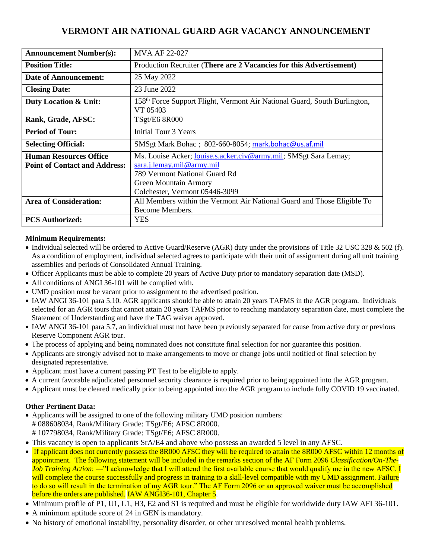# **VERMONT AIR NATIONAL GUARD AGR VACANCY ANNOUNCEMENT**

| <b>Announcement Number(s):</b>                                        | <b>MVA AF 22-027</b>                                                                                                                                                                             |
|-----------------------------------------------------------------------|--------------------------------------------------------------------------------------------------------------------------------------------------------------------------------------------------|
| <b>Position Title:</b>                                                | Production Recruiter (There are 2 Vacancies for this Advertisement)                                                                                                                              |
| Date of Announcement:                                                 | 25 May 2022                                                                                                                                                                                      |
| <b>Closing Date:</b>                                                  | 23 June 2022                                                                                                                                                                                     |
| Duty Location & Unit:                                                 | 158 <sup>th</sup> Force Support Flight, Vermont Air National Guard, South Burlington,<br>VT 05403                                                                                                |
| Rank, Grade, AFSC:                                                    | <b>TSgt/E6 8R000</b>                                                                                                                                                                             |
| <b>Period of Tour:</b>                                                | Initial Tour 3 Years                                                                                                                                                                             |
| <b>Selecting Official:</b>                                            | SMSgt Mark Bohac; 802-660-8054; mark.bohac@us.af.mil                                                                                                                                             |
| <b>Human Resources Office</b><br><b>Point of Contact and Address:</b> | Ms. Louise Acker; <i>louise.s.acker.civ@army.mil;</i> SMSgt Sara Lemay;<br>sara.j.lemay.mil@army.mil<br>789 Vermont National Guard Rd<br>Green Mountain Armory<br>Colchester, Vermont 05446-3099 |
| <b>Area of Consideration:</b>                                         | All Members within the Vermont Air National Guard and Those Eligible To<br>Become Members.                                                                                                       |
| <b>PCS Authorized:</b>                                                | YES                                                                                                                                                                                              |

#### **Minimum Requirements:**

- Individual selected will be ordered to Active Guard/Reserve (AGR) duty under the provisions of Title 32 USC 328 & 502 (f). As a condition of employment, individual selected agrees to participate with their unit of assignment during all unit training assemblies and periods of Consolidated Annual Training.
- Officer Applicants must be able to complete 20 years of Active Duty prior to mandatory separation date (MSD).
- All conditions of ANGI 36-101 will be complied with.
- UMD position must be vacant prior to assignment to the advertised position.
- IAW ANGI 36-101 para 5.10. AGR applicants should be able to attain 20 years TAFMS in the AGR program. Individuals selected for an AGR tours that cannot attain 20 years TAFMS prior to reaching mandatory separation date, must complete the Statement of Understanding and have the TAG waiver approved.
- IAW ANGI 36-101 para 5.7, an individual must not have been previously separated for cause from active duty or previous Reserve Component AGR tour.
- The process of applying and being nominated does not constitute final selection for nor guarantee this position.
- Applicants are strongly advised not to make arrangements to move or change jobs until notified of final selection by designated representative.
- Applicant must have a current passing PT Test to be eligible to apply.
- A current favorable adjudicated personnel security clearance is required prior to being appointed into the AGR program.
- Applicant must be cleared medically prior to being appointed into the AGR program to include fully COVID 19 vaccinated.

#### **Other Pertinent Data:**

- Applicants will be assigned to one of the following military UMD position numbers: # 088608034, Rank/Military Grade: TSgt/E6; AFSC 8R000. # 107798034, Rank/Military Grade: TSgt/E6; AFSC 8R000.
- This vacancy is open to applicants SrA/E4 and above who possess an awarded 5 level in any AFSC.
- If applicant does not currently possess the 8R000 AFSC they will be required to attain the 8R000 AFSC within 12 months of appointment. The following statement will be included in the remarks section of the AF Form 2096 *Classification/On-The-Job Training Action*: ―"I acknowledge that I will attend the first available course that would qualify me in the new AFSC. I will complete the course successfully and progress in training to a skill-level compatible with my UMD assignment. Failure to do so will result in the termination of my AGR tour." The AF Form 2096 or an approved waiver must be accomplished before the orders are published. IAW ANGI36-101, Chapter 5.
- Minimum profile of P1, U1, L1, H3, E2 and S1 is required and must be eligible for worldwide duty IAW AFI 36-101.
- A minimum aptitude score of 24 in GEN is mandatory.
- No history of emotional instability, personality disorder, or other unresolved mental health problems.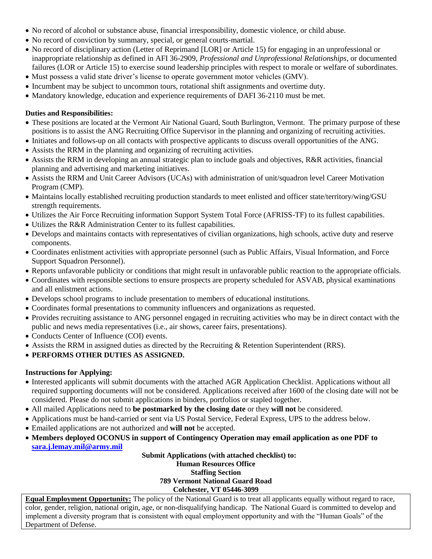- No record of alcohol or substance abuse, financial irresponsibility, domestic violence, or child abuse.
- No record of conviction by summary, special, or general courts-martial.
- No record of disciplinary action (Letter of Reprimand [LOR] or Article 15) for engaging in an unprofessional or inappropriate relationship as defined in AFI 36-2909, *Professional and Unprofessional Relationships*, or documented failures (LOR or Article 15) to exercise sound leadership principles with respect to morale or welfare of subordinates.
- Must possess a valid state driver's license to operate government motor vehicles (GMV).
- Incumbent may be subject to uncommon tours, rotational shift assignments and overtime duty.
- Mandatory knowledge, education and experience requirements of DAFI 36-2110 must be met.

### **Duties and Responsibilities:**

- These positions are located at the Vermont Air National Guard, South Burlington, Vermont. The primary purpose of these positions is to assist the ANG Recruiting Office Supervisor in the planning and organizing of recruiting activities.
- Initiates and follows-up on all contacts with prospective applicants to discuss overall opportunities of the ANG.
- Assists the RRM in the planning and organizing of recruiting activities.
- Assists the RRM in developing an annual strategic plan to include goals and objectives, R&R activities, financial planning and advertising and marketing initiatives.
- Assists the RRM and Unit Career Advisors (UCAs) with administration of unit/squadron level Career Motivation Program (CMP).
- Maintains locally established recruiting production standards to meet enlisted and officer state/territory/wing/GSU strength requirements.
- Utilizes the Air Force Recruiting information Support System Total Force (AFRISS-TF) to its fullest capabilities.
- Utilizes the R&R Administration Center to its fullest capabilities.
- Develops and maintains contacts with representatives of civilian organizations, high schools, active duty and reserve components.
- Coordinates enlistment activities with appropriate personnel (such as Public Affairs, Visual Information, and Force Support Squadron Personnel).
- Reports unfavorable publicity or conditions that might result in unfavorable public reaction to the appropriate officials.
- Coordinates with responsible sections to ensure prospects are property scheduled for ASVAB, physical examinations and all enlistment actions.
- Develops school programs to include presentation to members of educational institutions.
- Coordinates formal presentations to community influencers and organizations as requested.
- Provides recruiting assistance to ANG personnel engaged in recruiting activities who may be in direct contact with the public and news media representatives (i.e., air shows, career fairs, presentations).
- Conducts Center of Influence (COI) events.
- Assists the RRM in assigned duties as directed by the Recruiting & Retention Superintendent (RRS).
- **PERFORMS OTHER DUTIES AS ASSIGNED.**

## **Instructions for Applying:**

- Interested applicants will submit documents with the attached AGR Application Checklist. Applications without all required supporting documents will not be considered. Applications received after 1600 of the closing date will not be considered. Please do not submit applications in binders, portfolios or stapled together.
- All mailed Applications need to **be postmarked by the closing date** or they **will not** be considered.
- Applications must be hand-carried or sent via US Postal Service, Federal Express, UPS to the address below.
- Emailed applications are not authorized and **will not** be accepted.
- **Members deployed OCONUS in support of Contingency Operation may email application as one PDF to [sara.j.lemay.mil@army.mil](mailto:sara.j.lemay.mil@army.mil)**

**Submit Applications (with attached checklist) to: Human Resources Office Staffing Section 789 Vermont National Guard Road Colchester, VT 05446-3099**

**Equal Employment Opportunity:** The policy of the National Guard is to treat all applicants equally without regard to race, color, gender, religion, national origin, age, or non-disqualifying handicap. The National Guard is committed to develop and implement a diversity program that is consistent with equal employment opportunity and with the "Human Goals" of the Department of Defense.